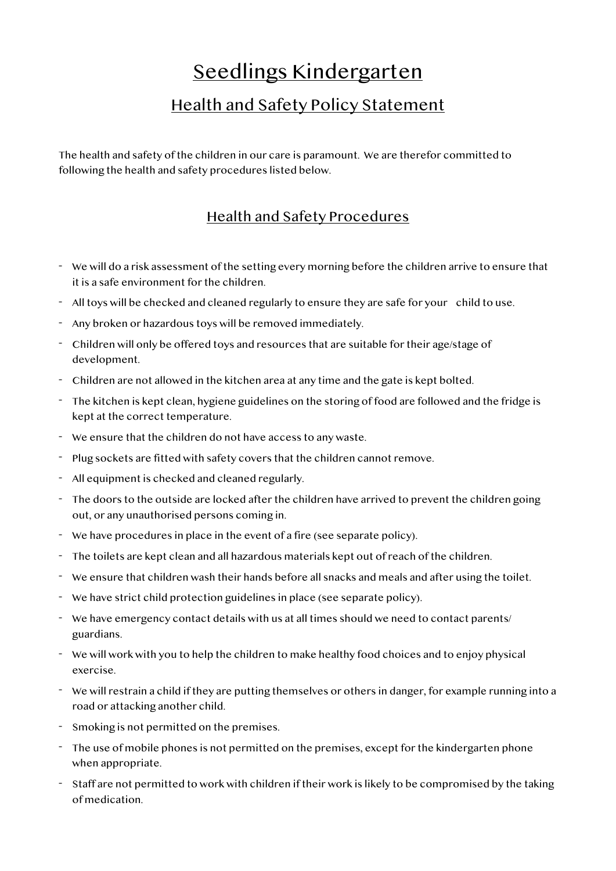## Seedlings Kindergarten

## Health and Safety Policy Statement

The health and safety of the children in our care is paramount. We are therefor committed to following the health and safety procedures listed below.

## Health and Safety Procedures

- We will do a risk assessment of the setting every morning before the children arrive to ensure that it is a safe environment for the children.
- All toys will be checked and cleaned regularly to ensure they are safe for your child to use.
- Any broken or hazardous toys will be removed immediately.
- Children will only be offered toys and resources that are suitable for their age/stage of development.
- Children are not allowed in the kitchen area at any time and the gate is kept bolted.
- The kitchen is kept clean, hygiene guidelines on the storing of food are followed and the fridge is kept at the correct temperature.
- We ensure that the children do not have access to any waste.
- Plug sockets are fitted with safety covers that the children cannot remove.
- All equipment is checked and cleaned regularly.
- The doors to the outside are locked after the children have arrived to prevent the children going out, or any unauthorised persons coming in.
- We have procedures in place in the event of a fire (see separate policy).
- The toilets are kept clean and all hazardous materials kept out of reach of the children.
- We ensure that children wash their hands before all snacks and meals and after using the toilet.
- We have strict child protection guidelines in place (see separate policy).
- We have emergency contact details with us at all times should we need to contact parents/ guardians.
- We will work with you to help the children to make healthy food choices and to enjoy physical exercise.
- We will restrain a child if they are putting themselves or others in danger, for example running into a road or attacking another child.
- Smoking is not permitted on the premises.
- The use of mobile phones is not permitted on the premises, except for the kindergarten phone when appropriate.
- Staff are not permitted to work with children if their work is likely to be compromised by the taking of medication.